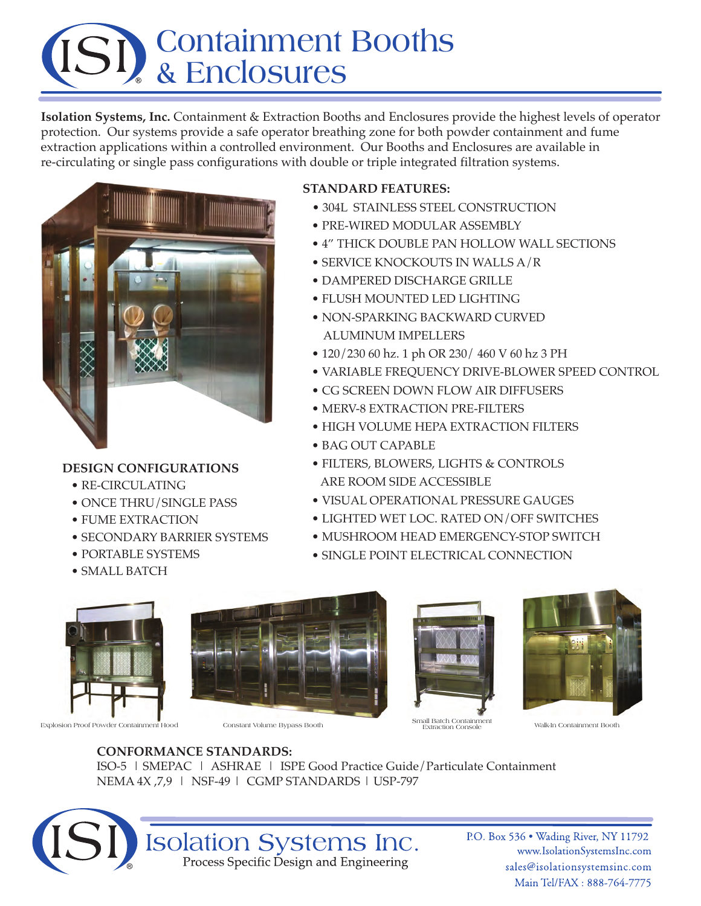# **Containment Booths & Enclosures**

**Isolation Systems, Inc.** Containment & Extraction Booths and Enclosures provide the highest levels of operator protection. Our systems provide a safe operator breathing zone for both powder containment and fume extraction applications within a controlled environment. Our Booths and Enclosures are available in re-circulating or single pass configurations with double or triple integrated filtration systems.



### **DESIGN CONFIGURATIONS**

- RE-CIRCULATING
- ONCE THRU/SINGLE PASS
- FUME EXTRACTION
- SECONDARY BARRIER SYSTEMS
- PORTABLE SYSTEMS
- SMALL BATCH



- 304L STAINLESS STEEL CONSTRUCTION
- PRE-WIRED MODULAR ASSEMBLY
- 4" THICK DOUBLE PAN HOLLOW WALL SECTIONS
- SERVICE KNOCKOUTS IN WALLS A/R
- DAMPERED DISCHARGE GRILLE
- FLUSH MOUNTED LED LIGHTING
- NON-SPARKING BACKWARD CURVED ALUMINUM IMPELLERS
- 120/230 60 hz. 1 ph OR 230/ 460 V 60 hz 3 PH
- VARIABLE FREQUENCY DRIVE-BLOWER SPEED CONTROL
- CG SCREEN DOWN FLOW AIR DIFFUSERS
- MERV-8 EXTRACTION PRE-FILTERS
- HIGH VOLUME HEPA EXTRACTION FILTERS
- BAG OUT CAPABLE
- FILTERS, BLOWERS, LIGHTS & CONTROLS ARE ROOM SIDE ACCESSIBLE
- VISUAL OPERATIONAL PRESSURE GAUGES
- LIGHTED WET LOC. RATED ON/OFF SWITCHES
- MUSHROOM HEAD EMERGENCY-STOP SWITCH
- SINGLE POINT ELECTRICAL CONNECTION



Explosion Proof Powder Containment Hood Constant Volume Bypass Booth Small Batch Containment Walk-In Containment Booth Extraction Console Walk-In Containment Booth







**CONFORMANCE STANDARDS:** ISO-5 | SMEPAC | ASHRAE | ISPE Good Practice Guide/Particulate Containment NEMA 4X ,7,9 | NSF-49 | CGMP STANDARDS | USP-797



P.O. Box 536 . Wading River, NY 11792 www.IsolationSystemsInc.com sales@isolationsystemsinc.com Main Tel/FAX: 888-764-7775